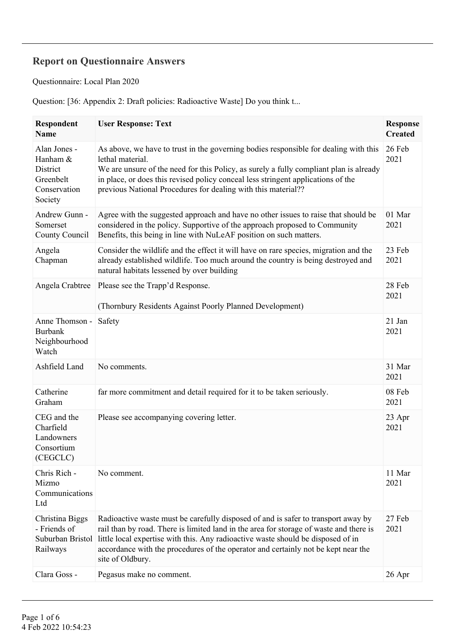## **Report on Questionnaire Answers**

Questionnaire: Local Plan 2020

Question: [36: Appendix 2: Draft policies: Radioactive Waste] Do you think t...

| <b>Respondent</b><br><b>Name</b>                                             | <b>User Response: Text</b>                                                                                                                                                                                                                                                                                                                                               | <b>Response</b><br><b>Created</b> |
|------------------------------------------------------------------------------|--------------------------------------------------------------------------------------------------------------------------------------------------------------------------------------------------------------------------------------------------------------------------------------------------------------------------------------------------------------------------|-----------------------------------|
| Alan Jones -<br>Hanham &<br>District<br>Greenbelt<br>Conservation<br>Society | As above, we have to trust in the governing bodies responsible for dealing with this<br>lethal material.<br>We are unsure of the need for this Policy, as surely a fully compliant plan is already<br>in place, or does this revised policy conceal less stringent applications of the<br>previous National Procedures for dealing with this material??                  | 26 Feb<br>2021                    |
| Andrew Gunn -<br>Somerset<br>County Council                                  | Agree with the suggested approach and have no other issues to raise that should be<br>considered in the policy. Supportive of the approach proposed to Community<br>Benefits, this being in line with NuLeAF position on such matters.                                                                                                                                   | 01 Mar<br>2021                    |
| Angela<br>Chapman                                                            | Consider the wildlife and the effect it will have on rare species, migration and the<br>already established wildlife. Too much around the country is being destroyed and<br>natural habitats lessened by over building                                                                                                                                                   | 23 Feb<br>2021                    |
| Angela Crabtree                                                              | Please see the Trapp'd Response.<br>(Thornbury Residents Against Poorly Planned Development)                                                                                                                                                                                                                                                                             | 28 Feb<br>2021                    |
| Anne Thomson -<br><b>Burbank</b><br>Neighbourhood<br>Watch                   | Safety                                                                                                                                                                                                                                                                                                                                                                   | 21 Jan<br>2021                    |
| Ashfield Land                                                                | No comments.                                                                                                                                                                                                                                                                                                                                                             | 31 Mar<br>2021                    |
| Catherine<br>Graham                                                          | far more commitment and detail required for it to be taken seriously.                                                                                                                                                                                                                                                                                                    | 08 Feb<br>2021                    |
| CEG and the<br>Charfield<br>Landowners<br>Consortium<br>(CEGCLC)             | Please see accompanying covering letter.                                                                                                                                                                                                                                                                                                                                 | 23 Apr<br>2021                    |
| Chris Rich -<br>Mizmo<br>Communications<br>Ltd                               | No comment.                                                                                                                                                                                                                                                                                                                                                              | 11 Mar<br>2021                    |
| Christina Biggs<br>- Friends of<br>Suburban Bristol<br>Railways              | Radioactive waste must be carefully disposed of and is safer to transport away by<br>rail than by road. There is limited land in the area for storage of waste and there is<br>little local expertise with this. Any radioactive waste should be disposed of in<br>accordance with the procedures of the operator and certainly not be kept near the<br>site of Oldbury. | 27 Feb<br>2021                    |
| Clara Goss -                                                                 | Pegasus make no comment.                                                                                                                                                                                                                                                                                                                                                 | 26 Apr                            |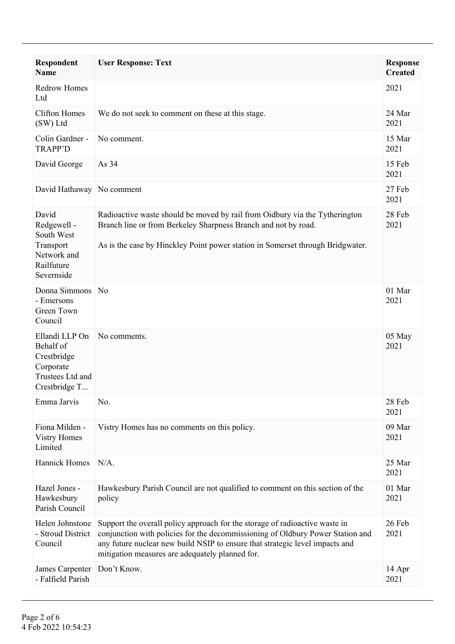| <b>Respondent</b><br><b>Name</b>                                                             | <b>User Response: Text</b>                                                                                                                                                                                                                                                                       | <b>Response</b><br><b>Created</b> |
|----------------------------------------------------------------------------------------------|--------------------------------------------------------------------------------------------------------------------------------------------------------------------------------------------------------------------------------------------------------------------------------------------------|-----------------------------------|
| <b>Redrow Homes</b><br>Ltd                                                                   |                                                                                                                                                                                                                                                                                                  | 2021                              |
| <b>Clifton Homes</b><br>(SW) Ltd                                                             | We do not seek to comment on these at this stage.                                                                                                                                                                                                                                                | 24 Mar<br>2021                    |
| Colin Gardner -<br><b>TRAPP'D</b>                                                            | No comment.                                                                                                                                                                                                                                                                                      | 15 Mar<br>2021                    |
| David George                                                                                 | As 34                                                                                                                                                                                                                                                                                            | 15 Feb<br>2021                    |
| David Hathaway                                                                               | No comment                                                                                                                                                                                                                                                                                       | 27 Feb<br>2021                    |
| David<br>Redgewell -<br>South West<br>Transport<br>Network and<br>Railfuture<br>Severnside   | Radioactive waste should be moved by rail from Oidbury via the Tytherington<br>Branch line or from Berkeley Sharpness Branch and not by road.<br>As is the case by Hinckley Point power station in Somerset through Bridgwater.                                                                  | 28 Feb<br>2021                    |
| Donna Simmons<br>- Emersons<br>Green Town<br>Council                                         | N <sub>0</sub>                                                                                                                                                                                                                                                                                   | 01 Mar<br>2021                    |
| Ellandi LLP On<br>Behalf of<br>Crestbridge<br>Corporate<br>Trustees Ltd and<br>Crestbridge T | No comments.                                                                                                                                                                                                                                                                                     | 05 May<br>2021                    |
| Emma Jarvis                                                                                  | No.                                                                                                                                                                                                                                                                                              | 28 Feb<br>2021                    |
| Fiona Milden -<br><b>Vistry Homes</b><br>Limited                                             | Vistry Homes has no comments on this policy.                                                                                                                                                                                                                                                     | 09 Mar<br>2021                    |
| <b>Hannick Homes</b>                                                                         | $N/A$ .                                                                                                                                                                                                                                                                                          | 25 Mar<br>2021                    |
| Hazel Jones -<br>Hawkesbury<br>Parish Council                                                | Hawkesbury Parish Council are not qualified to comment on this section of the<br>policy                                                                                                                                                                                                          | 01 Mar<br>2021                    |
| Helen Johnstone<br>- Stroud District<br>Council                                              | Support the overall policy approach for the storage of radioactive waste in<br>conjunction with policies for the decommissioning of Oldbury Power Station and<br>any future nuclear new build NSIP to ensure that strategic level impacts and<br>mitigation measures are adequately planned for. | 26 Feb<br>2021                    |
| James Carpenter<br>- Falfield Parish                                                         | Don't Know.                                                                                                                                                                                                                                                                                      | 14 Apr<br>2021                    |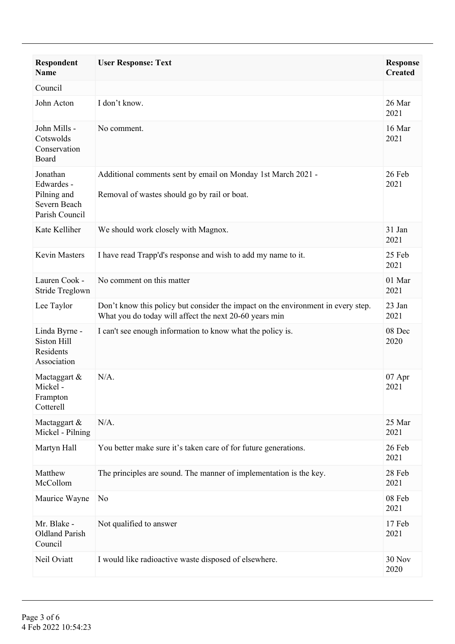| <b>Respondent</b><br><b>Name</b>                                        | <b>User Response: Text</b>                                                                                                                 | <b>Response</b><br><b>Created</b> |
|-------------------------------------------------------------------------|--------------------------------------------------------------------------------------------------------------------------------------------|-----------------------------------|
| Council                                                                 |                                                                                                                                            |                                   |
| John Acton                                                              | I don't know.                                                                                                                              | 26 Mar<br>2021                    |
| John Mills -<br>Cotswolds<br>Conservation<br>Board                      | No comment.                                                                                                                                | 16 Mar<br>2021                    |
| Jonathan<br>Edwardes -<br>Pilning and<br>Severn Beach<br>Parish Council | Additional comments sent by email on Monday 1st March 2021 -<br>Removal of wastes should go by rail or boat.                               | 26 Feb<br>2021                    |
| Kate Kelliher                                                           | We should work closely with Magnox.                                                                                                        | 31 Jan<br>2021                    |
| <b>Kevin Masters</b>                                                    | I have read Trapp'd's response and wish to add my name to it.                                                                              | 25 Feb<br>2021                    |
| Lauren Cook -<br>Stride Treglown                                        | No comment on this matter                                                                                                                  | 01 Mar<br>2021                    |
| Lee Taylor                                                              | Don't know this policy but consider the impact on the environment in every step.<br>What you do today will affect the next 20-60 years min | 23 Jan<br>2021                    |
| Linda Byrne -<br><b>Siston Hill</b><br>Residents<br>Association         | I can't see enough information to know what the policy is.                                                                                 | 08 Dec<br>2020                    |
| Mactaggart &<br>Mickel-<br>Frampton<br>Cotterell                        | $N/A$ .                                                                                                                                    | 07 Apr<br>2021                    |
| Mactaggart $\&$<br>Mickel - Pilning                                     | $N/A$ .                                                                                                                                    | 25 Mar<br>2021                    |
| Martyn Hall                                                             | You better make sure it's taken care of for future generations.                                                                            | 26 Feb<br>2021                    |
| Matthew<br>McCollom                                                     | The principles are sound. The manner of implementation is the key.                                                                         | 28 Feb<br>2021                    |
| Maurice Wayne                                                           | N <sub>0</sub>                                                                                                                             | 08 Feb<br>2021                    |
| Mr. Blake -<br><b>Oldland Parish</b><br>Council                         | Not qualified to answer                                                                                                                    | 17 Feb<br>2021                    |
| Neil Oviatt                                                             | I would like radioactive waste disposed of elsewhere.                                                                                      | 30 Nov<br>2020                    |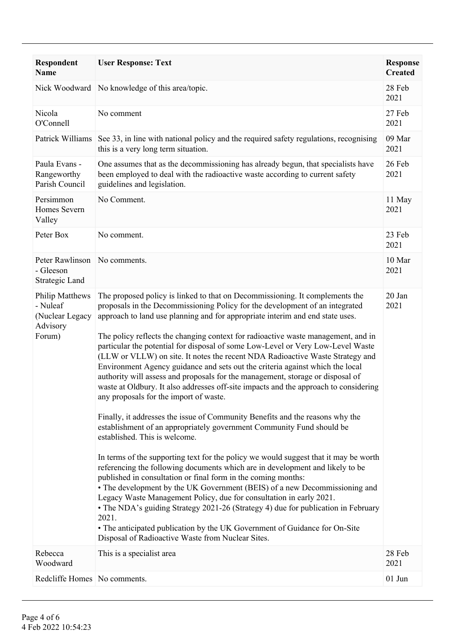| <b>Respondent</b><br><b>Name</b>                                            | <b>User Response: Text</b>                                                                                                                                                                                                                                                                                                                                                                                                                                                                                                                                                                                                                                                                                                                                                                                                                                                                                                                                                                                                                                                                                                                                                                                                                                                                                                                                                                                                                                                                                                                                                                                                             | <b>Response</b><br><b>Created</b> |
|-----------------------------------------------------------------------------|----------------------------------------------------------------------------------------------------------------------------------------------------------------------------------------------------------------------------------------------------------------------------------------------------------------------------------------------------------------------------------------------------------------------------------------------------------------------------------------------------------------------------------------------------------------------------------------------------------------------------------------------------------------------------------------------------------------------------------------------------------------------------------------------------------------------------------------------------------------------------------------------------------------------------------------------------------------------------------------------------------------------------------------------------------------------------------------------------------------------------------------------------------------------------------------------------------------------------------------------------------------------------------------------------------------------------------------------------------------------------------------------------------------------------------------------------------------------------------------------------------------------------------------------------------------------------------------------------------------------------------------|-----------------------------------|
|                                                                             | Nick Woodward   No knowledge of this area/topic.                                                                                                                                                                                                                                                                                                                                                                                                                                                                                                                                                                                                                                                                                                                                                                                                                                                                                                                                                                                                                                                                                                                                                                                                                                                                                                                                                                                                                                                                                                                                                                                       | 28 Feb<br>2021                    |
| Nicola<br>O'Connell                                                         | No comment                                                                                                                                                                                                                                                                                                                                                                                                                                                                                                                                                                                                                                                                                                                                                                                                                                                                                                                                                                                                                                                                                                                                                                                                                                                                                                                                                                                                                                                                                                                                                                                                                             | 27 Feb<br>2021                    |
| Patrick Williams                                                            | See 33, in line with national policy and the required safety regulations, recognising<br>this is a very long term situation.                                                                                                                                                                                                                                                                                                                                                                                                                                                                                                                                                                                                                                                                                                                                                                                                                                                                                                                                                                                                                                                                                                                                                                                                                                                                                                                                                                                                                                                                                                           | 09 Mar<br>2021                    |
| Paula Evans -<br>Rangeworthy<br>Parish Council                              | One assumes that as the decommissioning has already begun, that specialists have<br>been employed to deal with the radioactive waste according to current safety<br>guidelines and legislation.                                                                                                                                                                                                                                                                                                                                                                                                                                                                                                                                                                                                                                                                                                                                                                                                                                                                                                                                                                                                                                                                                                                                                                                                                                                                                                                                                                                                                                        | 26 Feb<br>2021                    |
| Persimmon<br>Homes Severn<br>Valley                                         | No Comment.                                                                                                                                                                                                                                                                                                                                                                                                                                                                                                                                                                                                                                                                                                                                                                                                                                                                                                                                                                                                                                                                                                                                                                                                                                                                                                                                                                                                                                                                                                                                                                                                                            | 11 May<br>2021                    |
| Peter Box                                                                   | No comment.                                                                                                                                                                                                                                                                                                                                                                                                                                                                                                                                                                                                                                                                                                                                                                                                                                                                                                                                                                                                                                                                                                                                                                                                                                                                                                                                                                                                                                                                                                                                                                                                                            | 23 Feb<br>2021                    |
| Peter Rawlinson<br>- Gleeson<br>Strategic Land                              | No comments.                                                                                                                                                                                                                                                                                                                                                                                                                                                                                                                                                                                                                                                                                                                                                                                                                                                                                                                                                                                                                                                                                                                                                                                                                                                                                                                                                                                                                                                                                                                                                                                                                           | 10 Mar<br>2021                    |
| <b>Philip Matthews</b><br>- Nuleaf<br>(Nuclear Legacy<br>Advisory<br>Forum) | The proposed policy is linked to that on Decommissioning. It complements the<br>proposals in the Decommissioning Policy for the development of an integrated<br>approach to land use planning and for appropriate interim and end state uses.<br>The policy reflects the changing context for radioactive waste management, and in<br>particular the potential for disposal of some Low-Level or Very Low-Level Waste<br>(LLW or VLLW) on site. It notes the recent NDA Radioactive Waste Strategy and<br>Environment Agency guidance and sets out the criteria against which the local<br>authority will assess and proposals for the management, storage or disposal of<br>waste at Oldbury. It also addresses off-site impacts and the approach to considering<br>any proposals for the import of waste.<br>Finally, it addresses the issue of Community Benefits and the reasons why the<br>establishment of an appropriately government Community Fund should be<br>established. This is welcome.<br>In terms of the supporting text for the policy we would suggest that it may be worth<br>referencing the following documents which are in development and likely to be<br>published in consultation or final form in the coming months:<br>• The development by the UK Government (BEIS) of a new Decommissioning and<br>Legacy Waste Management Policy, due for consultation in early 2021.<br>• The NDA's guiding Strategy 2021-26 (Strategy 4) due for publication in February<br>2021.<br>• The anticipated publication by the UK Government of Guidance for On-Site<br>Disposal of Radioactive Waste from Nuclear Sites. | 20 Jan<br>2021                    |
| Rebecca<br>Woodward                                                         | This is a specialist area                                                                                                                                                                                                                                                                                                                                                                                                                                                                                                                                                                                                                                                                                                                                                                                                                                                                                                                                                                                                                                                                                                                                                                                                                                                                                                                                                                                                                                                                                                                                                                                                              | 28 Feb<br>2021                    |
| Redcliffe Homes No comments.                                                |                                                                                                                                                                                                                                                                                                                                                                                                                                                                                                                                                                                                                                                                                                                                                                                                                                                                                                                                                                                                                                                                                                                                                                                                                                                                                                                                                                                                                                                                                                                                                                                                                                        | $01$ Jun                          |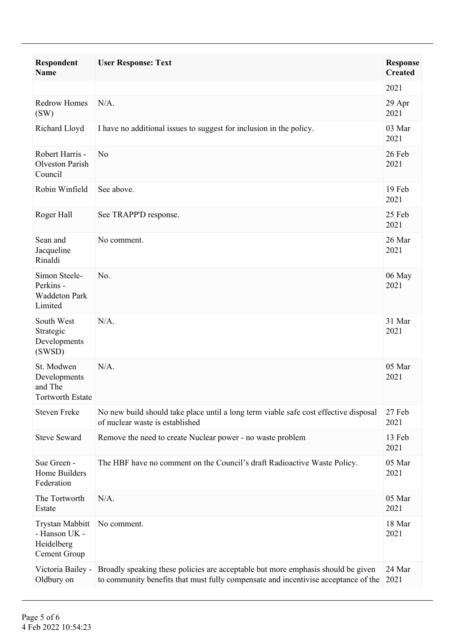| <b>Respondent</b><br><b>Name</b>                                 | <b>User Response: Text</b>                                                                                                                                             | <b>Response</b><br><b>Created</b> |
|------------------------------------------------------------------|------------------------------------------------------------------------------------------------------------------------------------------------------------------------|-----------------------------------|
|                                                                  |                                                                                                                                                                        | 2021                              |
| <b>Redrow Homes</b><br>(SW)                                      | $N/A$ .                                                                                                                                                                | 29 Apr<br>2021                    |
| Richard Lloyd                                                    | I have no additional issues to suggest for inclusion in the policy.                                                                                                    | 03 Mar<br>2021                    |
| Robert Harris -<br><b>Olveston Parish</b><br>Council             | N <sub>0</sub>                                                                                                                                                         | 26 Feb<br>2021                    |
| Robin Winfield                                                   | See above.                                                                                                                                                             | 19 Feb<br>2021                    |
| Roger Hall                                                       | See TRAPP'D response.                                                                                                                                                  | 25 Feb<br>2021                    |
| Sean and<br>Jacqueline<br>Rinaldi                                | No comment.                                                                                                                                                            | 26 Mar<br>2021                    |
| Simon Steele-<br>Perkins -<br><b>Waddeton Park</b><br>Limited    | No.                                                                                                                                                                    | 06 May<br>2021                    |
| South West<br>Strategic<br>Developments<br>(SWSD)                | $N/A$ .                                                                                                                                                                | 31 Mar<br>2021                    |
| St. Modwen<br>Developments<br>and The<br><b>Tortworth Estate</b> | $N/A$ .                                                                                                                                                                | 05 Mar<br>2021                    |
| <b>Steven Freke</b>                                              | No new build should take place until a long term viable safe cost effective disposal<br>of nuclear waste is established                                                | 27 Feb<br>2021                    |
| <b>Steve Seward</b>                                              | Remove the need to create Nuclear power - no waste problem                                                                                                             | 13 Feb<br>2021                    |
| Sue Green -<br>Home Builders<br>Federation                       | The HBF have no comment on the Council's draft Radioactive Waste Policy.                                                                                               | 05 Mar<br>2021                    |
| The Tortworth<br>Estate                                          | $N/A$ .                                                                                                                                                                | 05 Mar<br>2021                    |
| Trystan Mabbitt<br>- Hanson UK -<br>Heidelberg<br>Cement Group   | No comment.                                                                                                                                                            | 18 Mar<br>2021                    |
| Victoria Bailey -<br>Oldbury on                                  | Broadly speaking these policies are acceptable but more emphasis should be given<br>to community benefits that must fully compensate and incentivise acceptance of the | 24 Mar<br>2021                    |